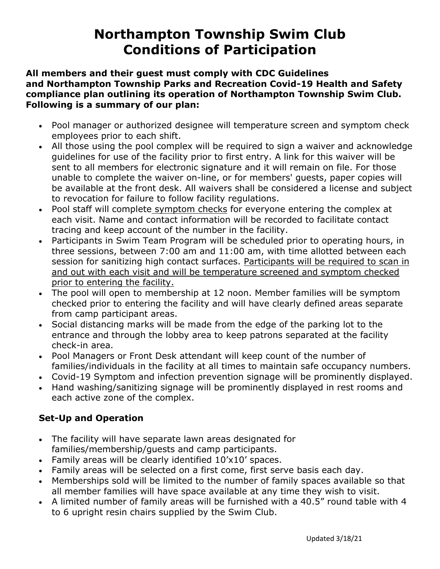## **Northampton Township Swim Club Conditions of Participation**

#### **All members and their guest must comply with CDC Guidelines and Northampton Township Parks and Recreation Covid-19 Health and Safety compliance plan outlining its operation of Northampton Township Swim Club. Following is a summary of our plan:**

- Pool manager or authorized designee will temperature screen and symptom check employees prior to each shift.
- All those using the pool complex will be required to sign a waiver and acknowledge guidelines for use of the facility prior to first entry. A link for this waiver will be sent to all members for electronic signature and it will remain on file. For those unable to complete the waiver on-line, or for members' guests, paper copies will be available at the front desk. All waivers shall be considered a license and subject to revocation for failure to follow facility regulations.
- Pool staff will complete symptom checks for everyone entering the complex at each visit. Name and contact information will be recorded to facilitate contact tracing and keep account of the number in the facility.
- Participants in Swim Team Program will be scheduled prior to operating hours, in three sessions, between 7:00 am and 11:00 am, with time allotted between each session for sanitizing high contact surfaces. Participants will be required to scan in and out with each visit and will be temperature screened and symptom checked prior to entering the facility.
- The pool will open to membership at 12 noon. Member families will be symptom checked prior to entering the facility and will have clearly defined areas separate from camp participant areas.
- Social distancing marks will be made from the edge of the parking lot to the entrance and through the lobby area to keep patrons separated at the facility check-in area.
- Pool Managers or Front Desk attendant will keep count of the number of families/individuals in the facility at all times to maintain safe occupancy numbers.
- Covid-19 Symptom and infection prevention signage will be prominently displayed.
- Hand washing/sanitizing signage will be prominently displayed in rest rooms and each active zone of the complex.

## **Set-Up and Operation**

- The facility will have separate lawn areas designated for families/membership/guests and camp participants.
- Family areas will be clearly identified 10'x10' spaces.
- Family areas will be selected on a first come, first serve basis each day.
- Memberships sold will be limited to the number of family spaces available so that all member families will have space available at any time they wish to visit.
- A limited number of family areas will be furnished with a 40.5" round table with 4 to 6 upright resin chairs supplied by the Swim Club.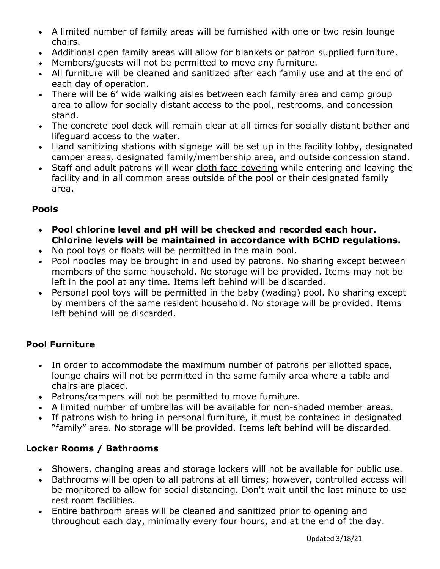- A limited number of family areas will be furnished with one or two resin lounge chairs.
- Additional open family areas will allow for blankets or patron supplied furniture.
- Members/guests will not be permitted to move any furniture.
- All furniture will be cleaned and sanitized after each family use and at the end of each day of operation.
- There will be 6' wide walking aisles between each family area and camp group area to allow for socially distant access to the pool, restrooms, and concession stand.
- The concrete pool deck will remain clear at all times for socially distant bather and lifeguard access to the water.
- Hand sanitizing stations with signage will be set up in the facility lobby, designated camper areas, designated family/membership area, and outside concession stand.
- Staff and adult patrons will wear cloth face covering while entering and leaving the facility and in all common areas outside of the pool or their designated family area.

## **Pools**

- **Pool chlorine level and pH will be checked and recorded each hour. Chlorine levels will be maintained in accordance with BCHD regulations.**
- No pool toys or floats will be permitted in the main pool.
- Pool noodles may be brought in and used by patrons. No sharing except between members of the same household. No storage will be provided. Items may not be left in the pool at any time. Items left behind will be discarded.
- Personal pool toys will be permitted in the baby (wading) pool. No sharing except by members of the same resident household. No storage will be provided. Items left behind will be discarded.

## **Pool Furniture**

- In order to accommodate the maximum number of patrons per allotted space, lounge chairs will not be permitted in the same family area where a table and chairs are placed.
- Patrons/campers will not be permitted to move furniture.
- A limited number of umbrellas will be available for non-shaded member areas.
- If patrons wish to bring in personal furniture, it must be contained in designated "family" area. No storage will be provided. Items left behind will be discarded.

## **Locker Rooms / Bathrooms**

- Showers, changing areas and storage lockers will not be available for public use.
- Bathrooms will be open to all patrons at all times; however, controlled access will be monitored to allow for social distancing. Don't wait until the last minute to use rest room facilities.
- Entire bathroom areas will be cleaned and sanitized prior to opening and throughout each day, minimally every four hours, and at the end of the day.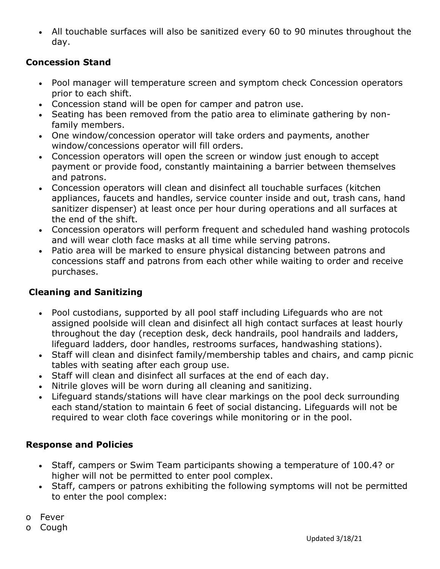All touchable surfaces will also be sanitized every 60 to 90 minutes throughout the day.

#### **Concession Stand**

- Pool manager will temperature screen and symptom check Concession operators prior to each shift.
- Concession stand will be open for camper and patron use.
- Seating has been removed from the patio area to eliminate gathering by nonfamily members.
- One window/concession operator will take orders and payments, another window/concessions operator will fill orders.
- Concession operators will open the screen or window just enough to accept payment or provide food, constantly maintaining a barrier between themselves and patrons.
- Concession operators will clean and disinfect all touchable surfaces (kitchen appliances, faucets and handles, service counter inside and out, trash cans, hand sanitizer dispenser) at least once per hour during operations and all surfaces at the end of the shift.
- Concession operators will perform frequent and scheduled hand washing protocols and will wear cloth face masks at all time while serving patrons.
- Patio area will be marked to ensure physical distancing between patrons and concessions staff and patrons from each other while waiting to order and receive purchases.

## **Cleaning and Sanitizing**

- Pool custodians, supported by all pool staff including Lifeguards who are not assigned poolside will clean and disinfect all high contact surfaces at least hourly throughout the day (reception desk, deck handrails, pool handrails and ladders, lifeguard ladders, door handles, restrooms surfaces, handwashing stations).
- Staff will clean and disinfect family/membership tables and chairs, and camp picnic tables with seating after each group use.
- Staff will clean and disinfect all surfaces at the end of each day.
- Nitrile gloves will be worn during all cleaning and sanitizing.
- Lifeguard stands/stations will have clear markings on the pool deck surrounding each stand/station to maintain 6 feet of social distancing. Lifeguards will not be required to wear cloth face coverings while monitoring or in the pool.

## **Response and Policies**

- Staff, campers or Swim Team participants showing a temperature of 100.4? or higher will not be permitted to enter pool complex.
- Staff, campers or patrons exhibiting the following symptoms will not be permitted to enter the pool complex:

o Fever

o Cough